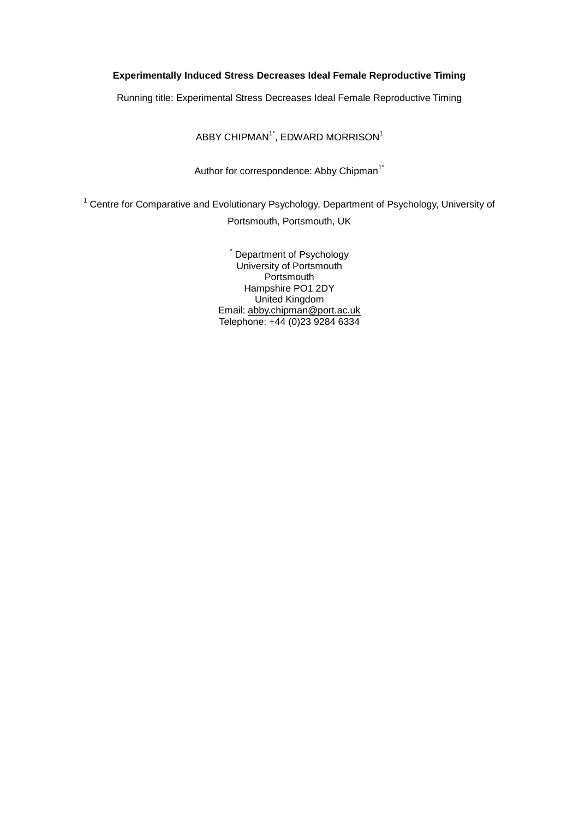### **Experimentally Induced Stress Decreases Ideal Female Reproductive Timing**

Running title: Experimental Stress Decreases Ideal Female Reproductive Timing

# ABBY CHIPMAN<sup>1\*</sup>, EDWARD MORRISON<sup>1</sup>

Author for correspondence: Abby Chipman<sup>1\*</sup>

<sup>1</sup> Centre for Comparative and Evolutionary Psychology, Department of Psychology, University of Portsmouth, Portsmouth, UK

> Department of Psychology University of Portsmouth **Portsmouth** Hampshire PO1 2DY United Kingdom Email: [abby.chipman@port.ac.uk](mailto:abby.chipman@port.ac.uk) Telephone: +44 (0)23 9284 6334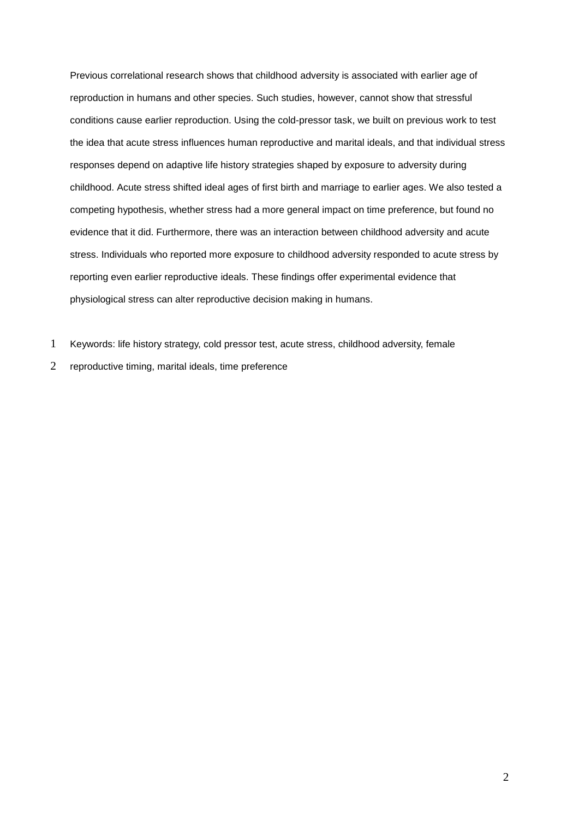Previous correlational research shows that childhood adversity is associated with earlier age of reproduction in humans and other species. Such studies, however, cannot show that stressful conditions cause earlier reproduction. Using the cold-pressor task, we built on previous work to test the idea that acute stress influences human reproductive and marital ideals, and that individual stress responses depend on adaptive life history strategies shaped by exposure to adversity during childhood. Acute stress shifted ideal ages of first birth and marriage to earlier ages. We also tested a competing hypothesis, whether stress had a more general impact on time preference, but found no evidence that it did. Furthermore, there was an interaction between childhood adversity and acute stress. Individuals who reported more exposure to childhood adversity responded to acute stress by reporting even earlier reproductive ideals. These findings offer experimental evidence that physiological stress can alter reproductive decision making in humans.

- 1 Keywords: life history strategy, cold pressor test, acute stress, childhood adversity, female
- 2 reproductive timing, marital ideals, time preference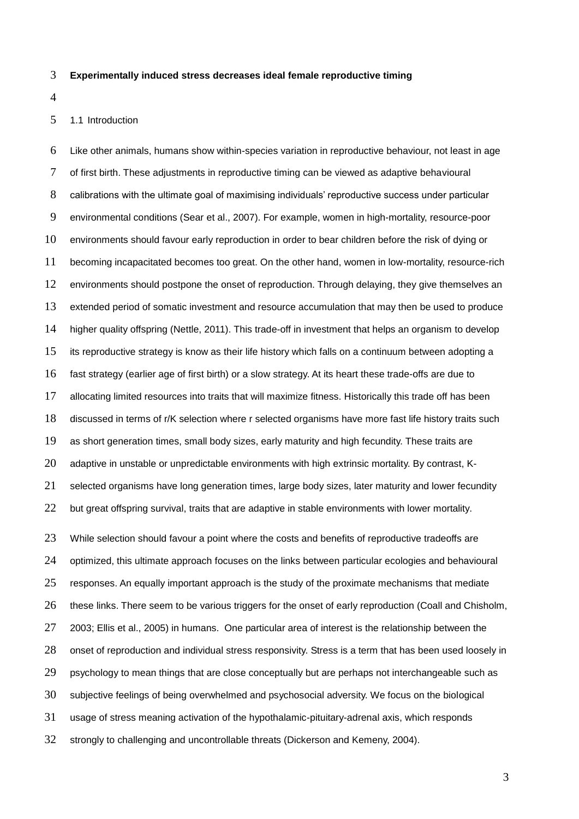### **Experimentally induced stress decreases ideal female reproductive timing**

#### 1.1 Introduction

 Like other animals, humans show within-species variation in reproductive behaviour, not least in age of first birth. These adjustments in reproductive timing can be viewed as adaptive behavioural calibrations with the ultimate goal of maximising individuals' reproductive success under particular environmental conditions (Sear et al., 2007). For example, women in high-mortality, resource-poor environments should favour early reproduction in order to bear children before the risk of dying or becoming incapacitated becomes too great. On the other hand, women in low-mortality, resource-rich environments should postpone the onset of reproduction. Through delaying, they give themselves an extended period of somatic investment and resource accumulation that may then be used to produce higher quality offspring (Nettle, 2011). This trade-off in investment that helps an organism to develop its reproductive strategy is know as their life history which falls on a continuum between adopting a fast strategy (earlier age of first birth) or a slow strategy. At its heart these trade-offs are due to allocating limited resources into traits that will maximize fitness. Historically this trade off has been 18 discussed in terms of r/K selection where r selected organisms have more fast life history traits such as short generation times, small body sizes, early maturity and high fecundity. These traits are adaptive in unstable or unpredictable environments with high extrinsic mortality. By contrast, K- selected organisms have long generation times, large body sizes, later maturity and lower fecundity but great offspring survival, traits that are adaptive in stable environments with lower mortality. 23 While selection should favour a point where the costs and benefits of reproductive tradeoffs are

 optimized, this ultimate approach focuses on the links between particular ecologies and behavioural 25 responses. An equally important approach is the study of the proximate mechanisms that mediate 26 these links. There seem to be various triggers for the onset of early reproduction (Coall and Chisholm, 2003; Ellis et al., 2005) in humans. One particular area of interest is the relationship between the onset of reproduction and individual stress responsivity. Stress is a term that has been used loosely in 29 psychology to mean things that are close conceptually but are perhaps not interchangeable such as subjective feelings of being overwhelmed and psychosocial adversity. We focus on the biological usage of stress meaning activation of the hypothalamic-pituitary-adrenal axis, which responds strongly to challenging and uncontrollable threats (Dickerson and Kemeny, 2004).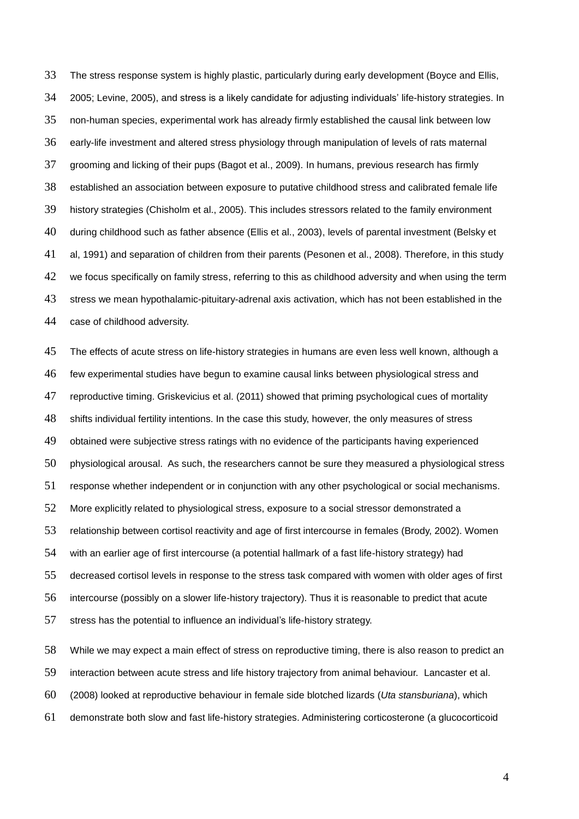The stress response system is highly plastic, particularly during early development (Boyce and Ellis, 2005; Levine, 2005), and stress is a likely candidate for adjusting individuals' life-history strategies. In non-human species, experimental work has already firmly established the causal link between low early-life investment and altered stress physiology through manipulation of levels of rats maternal grooming and licking of their pups (Bagot et al., 2009). In humans, previous research has firmly established an association between exposure to putative childhood stress and calibrated female life history strategies (Chisholm et al., 2005). This includes stressors related to the family environment during childhood such as father absence (Ellis et al., 2003), levels of parental investment (Belsky et al, 1991) and separation of children from their parents (Pesonen et al., 2008). Therefore, in this study 42 we focus specifically on family stress, referring to this as childhood adversity and when using the term stress we mean hypothalamic-pituitary-adrenal axis activation, which has not been established in the case of childhood adversity.

 The effects of acute stress on life-history strategies in humans are even less well known, although a few experimental studies have begun to examine causal links between physiological stress and reproductive timing. Griskevicius et al. (2011) showed that priming psychological cues of mortality shifts individual fertility intentions. In the case this study, however, the only measures of stress obtained were subjective stress ratings with no evidence of the participants having experienced physiological arousal. As such, the researchers cannot be sure they measured a physiological stress response whether independent or in conjunction with any other psychological or social mechanisms. More explicitly related to physiological stress, exposure to a social stressor demonstrated a relationship between cortisol reactivity and age of first intercourse in females (Brody, 2002). Women with an earlier age of first intercourse (a potential hallmark of a fast life-history strategy) had decreased cortisol levels in response to the stress task compared with women with older ages of first intercourse (possibly on a slower life-history trajectory). Thus it is reasonable to predict that acute stress has the potential to influence an individual's life-history strategy.

 While we may expect a main effect of stress on reproductive timing, there is also reason to predict an interaction between acute stress and life history trajectory from animal behaviour. Lancaster et al. (2008) looked at reproductive behaviour in female side blotched lizards (*Uta stansburiana*), which demonstrate both slow and fast life-history strategies. Administering corticosterone (a glucocorticoid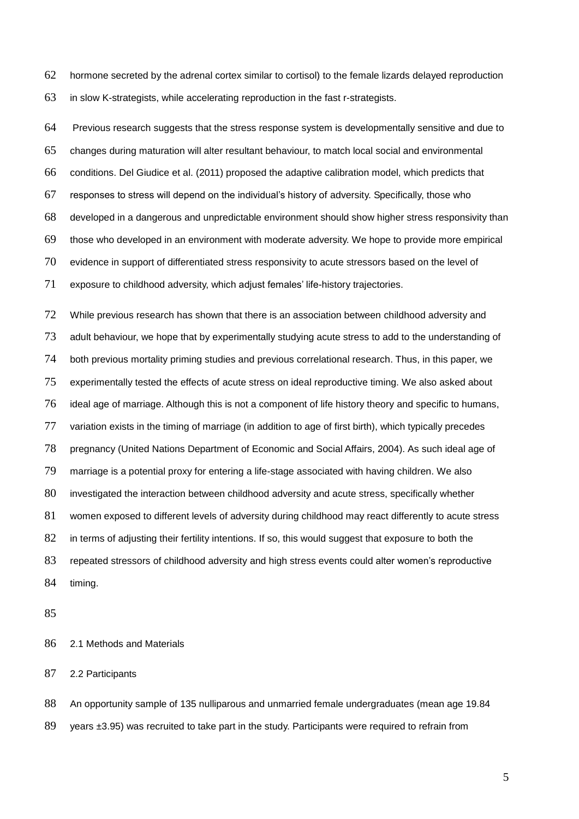hormone secreted by the adrenal cortex similar to cortisol) to the female lizards delayed reproduction in slow K-strategists, while accelerating reproduction in the fast r-strategists.

 Previous research suggests that the stress response system is developmentally sensitive and due to changes during maturation will alter resultant behaviour, to match local social and environmental conditions. Del Giudice et al. (2011) proposed the adaptive calibration model, which predicts that responses to stress will depend on the individual's history of adversity. Specifically, those who developed in a dangerous and unpredictable environment should show higher stress responsivity than those who developed in an environment with moderate adversity. We hope to provide more empirical evidence in support of differentiated stress responsivity to acute stressors based on the level of exposure to childhood adversity, which adjust females' life-history trajectories.

72 While previous research has shown that there is an association between childhood adversity and adult behaviour, we hope that by experimentally studying acute stress to add to the understanding of both previous mortality priming studies and previous correlational research. Thus, in this paper, we experimentally tested the effects of acute stress on ideal reproductive timing. We also asked about ideal age of marriage. Although this is not a component of life history theory and specific to humans, variation exists in the timing of marriage (in addition to age of first birth), which typically precedes pregnancy (United Nations Department of Economic and Social Affairs, 2004). As such ideal age of marriage is a potential proxy for entering a life-stage associated with having children. We also investigated the interaction between childhood adversity and acute stress, specifically whether women exposed to different levels of adversity during childhood may react differently to acute stress 82 in terms of adjusting their fertility intentions. If so, this would suggest that exposure to both the repeated stressors of childhood adversity and high stress events could alter women's reproductive timing.

### 2.1 Methods and Materials

2.2 Participants

 An opportunity sample of 135 nulliparous and unmarried female undergraduates (mean age 19.84 89 years  $\pm 3.95$ ) was recruited to take part in the study. Participants were required to refrain from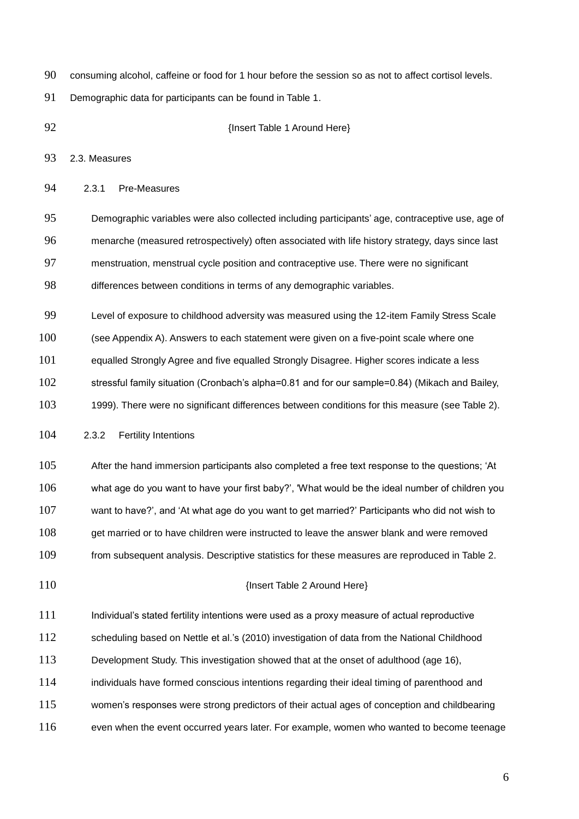- consuming alcohol, caffeine or food for 1 hour before the session so as not to affect cortisol levels.
- Demographic data for participants can be found in Table 1.
- **Insert Table 1 Around Here**
- 2.3. Measures
- 2.3.1 Pre-Measures
- Demographic variables were also collected including participants' age, contraceptive use, age of
- menarche (measured retrospectively) often associated with life history strategy, days since last
- menstruation, menstrual cycle position and contraceptive use. There were no significant
- differences between conditions in terms of any demographic variables.
- Level of exposure to childhood adversity was measured using the 12-item Family Stress Scale
- (see Appendix A). Answers to each statement were given on a five-point scale where one
- equalled Strongly Agree and five equalled Strongly Disagree. Higher scores indicate a less
- stressful family situation (Cronbach's alpha=0.81 and for our sample=0.84) (Mikach and Bailey,
- 1999). There were no significant differences between conditions for this measure (see Table 2).
- 2.3.2 Fertility Intentions

 After the hand immersion participants also completed a free text response to the questions; 'At what age do you want to have your first baby?', 'What would be the ideal number of children you want to have?', and 'At what age do you want to get married?' Participants who did not wish to 108 get married or to have children were instructed to leave the answer blank and were removed from subsequent analysis. Descriptive statistics for these measures are reproduced in Table 2.

- 110 {Insert Table 2 Around Here}
- Individual's stated fertility intentions were used as a proxy measure of actual reproductive
- 112 scheduling based on Nettle et al.'s (2010) investigation of data from the National Childhood
- Development Study. This investigation showed that at the onset of adulthood (age 16),
- individuals have formed conscious intentions regarding their ideal timing of parenthood and
- women's responses were strong predictors of their actual ages of conception and childbearing
- even when the event occurred years later. For example, women who wanted to become teenage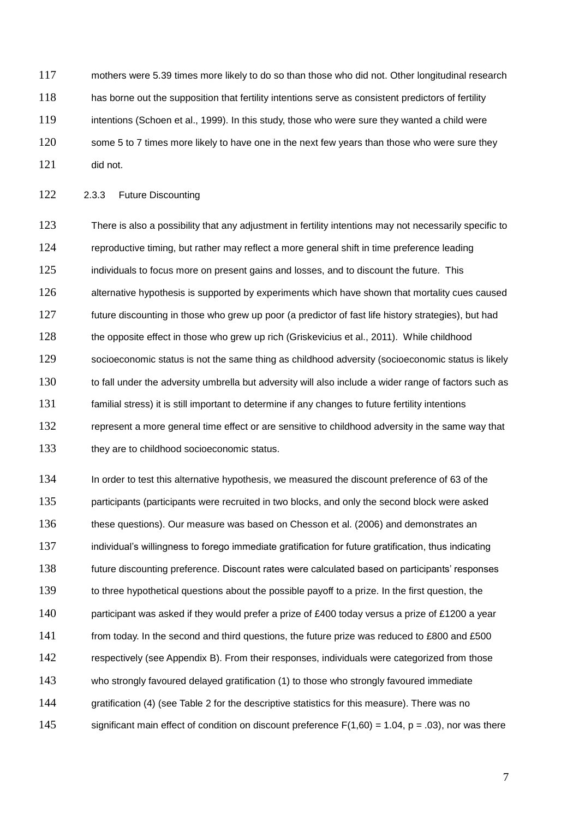mothers were 5.39 times more likely to do so than those who did not. Other longitudinal research 118 has borne out the supposition that fertility intentions serve as consistent predictors of fertility intentions (Schoen et al., 1999). In this study, those who were sure they wanted a child were some 5 to 7 times more likely to have one in the next few years than those who were sure they did not.

2.3.3 Future Discounting

 There is also a possibility that any adjustment in fertility intentions may not necessarily specific to 124 reproductive timing, but rather may reflect a more general shift in time preference leading 125 individuals to focus more on present gains and losses, and to discount the future. This 126 alternative hypothesis is supported by experiments which have shown that mortality cues caused future discounting in those who grew up poor (a predictor of fast life history strategies), but had the opposite effect in those who grew up rich (Griskevicius et al., 2011). While childhood socioeconomic status is not the same thing as childhood adversity (socioeconomic status is likely 130 to fall under the adversity umbrella but adversity will also include a wider range of factors such as familial stress) it is still important to determine if any changes to future fertility intentions represent a more general time effect or are sensitive to childhood adversity in the same way that 133 they are to childhood socioeconomic status.

 In order to test this alternative hypothesis, we measured the discount preference of 63 of the 135 participants (participants were recruited in two blocks, and only the second block were asked these questions). Our measure was based on Chesson et al. (2006) and demonstrates an individual's willingness to forego immediate gratification for future gratification, thus indicating future discounting preference. Discount rates were calculated based on participants' responses to three hypothetical questions about the possible payoff to a prize. In the first question, the 140 participant was asked if they would prefer a prize of £400 today versus a prize of £1200 a year from today. In the second and third questions, the future prize was reduced to £800 and £500 respectively (see Appendix B). From their responses, individuals were categorized from those who strongly favoured delayed gratification (1) to those who strongly favoured immediate gratification (4) (see Table 2 for the descriptive statistics for this measure). There was no 145 significant main effect of condition on discount preference  $F(1,60) = 1.04$ , p = .03), nor was there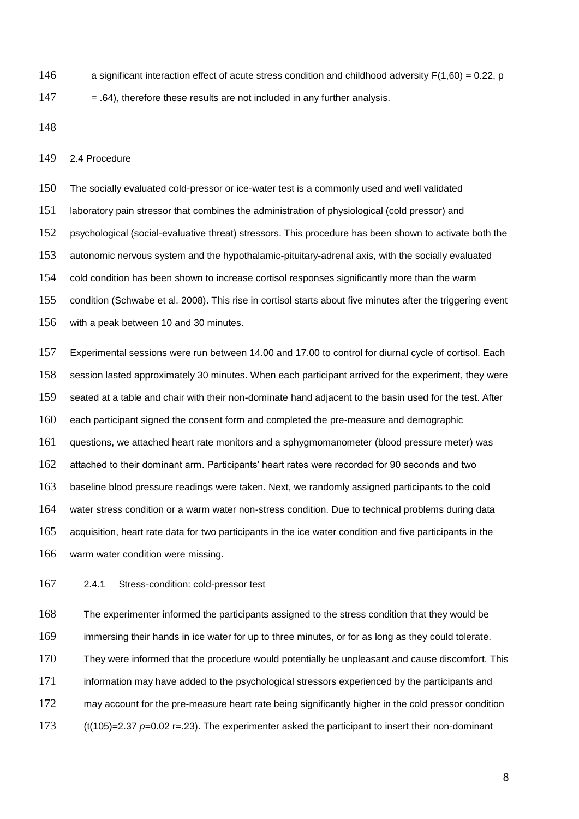a significant interaction effect of acute stress condition and childhood adversity F(1,60) = 0.22, p

 $147 = .64$ ), therefore these results are not included in any further analysis.

2.4 Procedure

 The socially evaluated cold-pressor or ice-water test is a commonly used and well validated laboratory pain stressor that combines the administration of physiological (cold pressor) and psychological (social-evaluative threat) stressors. This procedure has been shown to activate both the autonomic nervous system and the hypothalamic-pituitary-adrenal axis, with the socially evaluated cold condition has been shown to increase cortisol responses significantly more than the warm condition (Schwabe et al. 2008). This rise in cortisol starts about five minutes after the triggering event with a peak between 10 and 30 minutes.

 Experimental sessions were run between 14.00 and 17.00 to control for diurnal cycle of cortisol. Each session lasted approximately 30 minutes. When each participant arrived for the experiment, they were seated at a table and chair with their non-dominate hand adjacent to the basin used for the test. After each participant signed the consent form and completed the pre-measure and demographic questions, we attached heart rate monitors and a sphygmomanometer (blood pressure meter) was attached to their dominant arm. Participants' heart rates were recorded for 90 seconds and two baseline blood pressure readings were taken. Next, we randomly assigned participants to the cold water stress condition or a warm water non-stress condition. Due to technical problems during data acquisition, heart rate data for two participants in the ice water condition and five participants in the warm water condition were missing.

2.4.1 Stress-condition: cold-pressor test

 The experimenter informed the participants assigned to the stress condition that they would be immersing their hands in ice water for up to three minutes, or for as long as they could tolerate. They were informed that the procedure would potentially be unpleasant and cause discomfort. This 171 information may have added to the psychological stressors experienced by the participants and 172 may account for the pre-measure heart rate being significantly higher in the cold pressor condition (t(105)=2.37 *p*=0.02 r=.23). The experimenter asked the participant to insert their non-dominant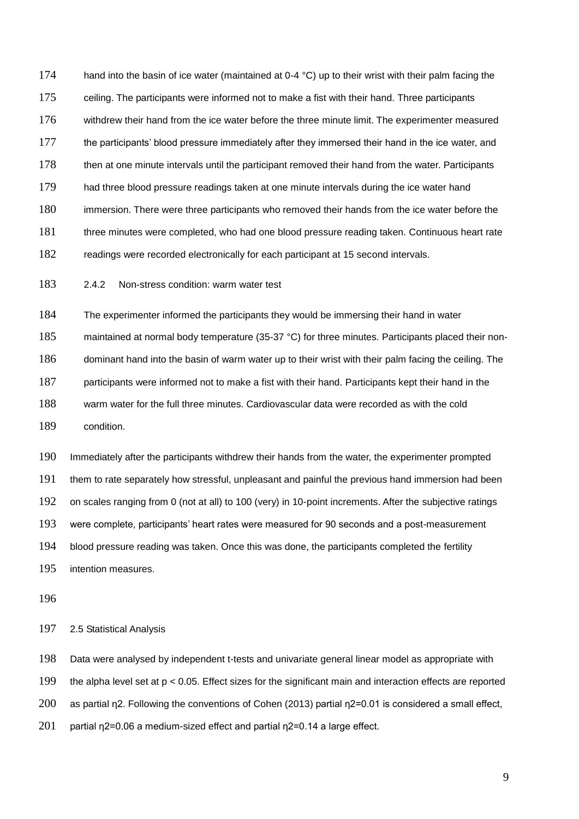174 hand into the basin of ice water (maintained at 0-4 °C) up to their wrist with their palm facing the ceiling. The participants were informed not to make a fist with their hand. Three participants withdrew their hand from the ice water before the three minute limit. The experimenter measured the participants' blood pressure immediately after they immersed their hand in the ice water, and 178 then at one minute intervals until the participant removed their hand from the water. Participants 179 had three blood pressure readings taken at one minute intervals during the ice water hand immersion. There were three participants who removed their hands from the ice water before the three minutes were completed, who had one blood pressure reading taken. Continuous heart rate 182 readings were recorded electronically for each participant at 15 second intervals.

2.4.2 Non-stress condition: warm water test

The experimenter informed the participants they would be immersing their hand in water

185 maintained at normal body temperature (35-37 °C) for three minutes. Participants placed their non-

186 dominant hand into the basin of warm water up to their wrist with their palm facing the ceiling. The

187 participants were informed not to make a fist with their hand. Participants kept their hand in the

warm water for the full three minutes. Cardiovascular data were recorded as with the cold

189 condition.

 Immediately after the participants withdrew their hands from the water, the experimenter prompted them to rate separately how stressful, unpleasant and painful the previous hand immersion had been on scales ranging from 0 (not at all) to 100 (very) in 10-point increments. After the subjective ratings were complete, participants' heart rates were measured for 90 seconds and a post-measurement blood pressure reading was taken. Once this was done, the participants completed the fertility intention measures.

2.5 Statistical Analysis

Data were analysed by independent t-tests and univariate general linear model as appropriate with

the alpha level set at p < 0.05. Effect sizes for the significant main and interaction effects are reported

as partial η2. Following the conventions of Cohen (2013) partial η2=0.01 is considered a small effect,

partial η2=0.06 a medium-sized effect and partial η2=0.14 a large effect.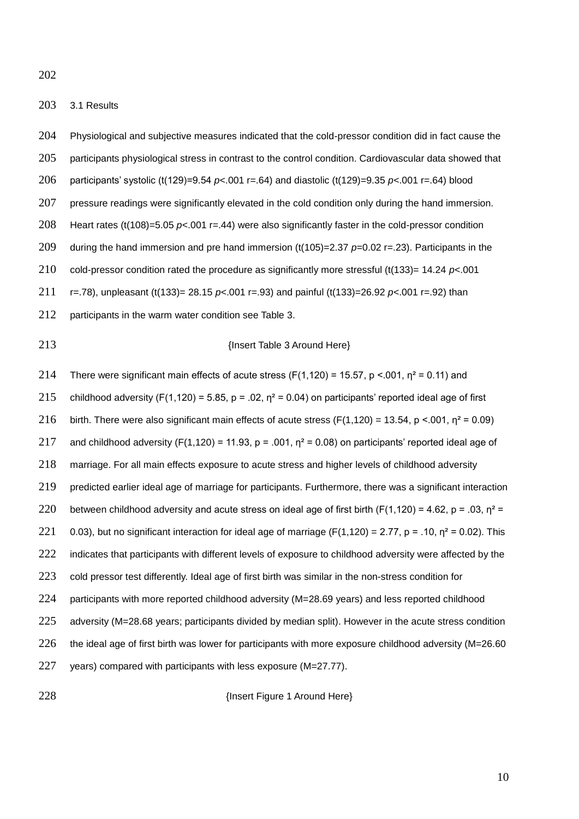202

203 3.1 Results

205 participants physiological stress in contrast to the control condition. Cardiovascular data showed that 206 participants' systolic (t(129)=9.54 *p*<.001 r=.64) and diastolic (t(129)=9.35 *p*<.001 r=.64) blood 207 pressure readings were significantly elevated in the cold condition only during the hand immersion. 208 Heart rates (t(108)=5.05 *p*<.001 r=.44) were also significantly faster in the cold-pressor condition 209 during the hand immersion and pre hand immersion (t(105)=2.37 *p*=0.02 r=.23). Participants in the 210 cold-pressor condition rated the procedure as significantly more stressful (t(133)= 14.24 *p*<.001 211 r=.78), unpleasant (t(133)= 28.15 *p*<.001 r=.93) and painful (t(133)=26.92 *p*<.001 r=.92) than 212 participants in the warm water condition see Table 3. 213 **Insert Table 3 Around Here** 214 There were significant main effects of acute stress (F(1,120) = 15.57, p <.001,  $\eta^2$  = 0.11) and 215 childhood adversity (F(1,120) = 5.85, p = .02,  $\eta^2$  = 0.04) on participants' reported ideal age of first 216 birth. There were also significant main effects of acute stress (F(1,120) = 13.54, p <.001,  $\eta^2$  = 0.09) 217 and childhood adversity (F(1,120) = 11.93, p = .001,  $\eta^2$  = 0.08) on participants' reported ideal age of 218 marriage. For all main effects exposure to acute stress and higher levels of childhood adversity 219 predicted earlier ideal age of marriage for participants. Furthermore, there was a significant interaction 220 between childhood adversity and acute stress on ideal age of first birth (F(1,120) = 4.62, p = .03,  $\eta^2$  = 221 0.03), but no significant interaction for ideal age of marriage (F(1,120) = 2.77, p = .10,  $\eta^2$  = 0.02). This 222 indicates that participants with different levels of exposure to childhood adversity were affected by the 223 cold pressor test differently. Ideal age of first birth was similar in the non-stress condition for 224 participants with more reported childhood adversity (M=28.69 years) and less reported childhood 225 adversity (M=28.68 years; participants divided by median split). However in the acute stress condition 226 the ideal age of first birth was lower for participants with more exposure childhood adversity (M=26.60)

204 Physiological and subjective measures indicated that the cold-pressor condition did in fact cause the

227 years) compared with participants with less exposure (M=27.77).

228 **Insert Figure 1 Around Here**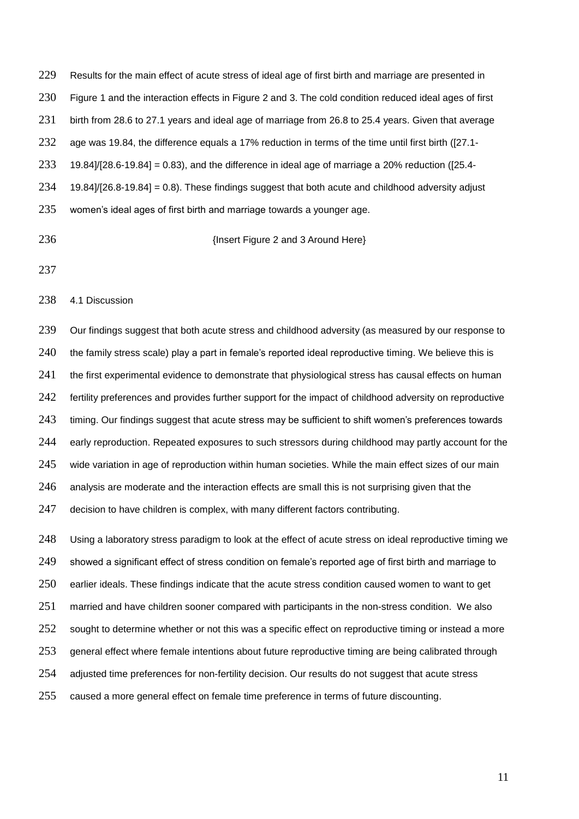229 Results for the main effect of acute stress of ideal age of first birth and marriage are presented in Figure 1 and the interaction effects in Figure 2 and 3. The cold condition reduced ideal ages of first birth from 28.6 to 27.1 years and ideal age of marriage from 26.8 to 25.4 years. Given that average age was 19.84, the difference equals a 17% reduction in terms of the time until first birth ([27.1- 19.84]/[28.6-19.84] = 0.83), and the difference in ideal age of marriage a 20% reduction ([25.4- 19.84]/[26.8-19.84] = 0.8). These findings suggest that both acute and childhood adversity adjust 235 women's ideal ages of first birth and marriage towards a vounger age.

236 **Insert Figure 2 and 3 Around Here**  $\{$  Insert Figure 2 and 3 Around Here  $\}$ 

4.1 Discussion

239 Our findings suggest that both acute stress and childhood adversity (as measured by our response to the family stress scale) play a part in female's reported ideal reproductive timing. We believe this is 241 the first experimental evidence to demonstrate that physiological stress has causal effects on human 242 fertility preferences and provides further support for the impact of childhood adversity on reproductive timing. Our findings suggest that acute stress may be sufficient to shift women's preferences towards 244 early reproduction. Repeated exposures to such stressors during childhood may partly account for the 245 wide variation in age of reproduction within human societies. While the main effect sizes of our main 246 analysis are moderate and the interaction effects are small this is not surprising given that the decision to have children is complex, with many different factors contributing.

248 Using a laboratory stress paradigm to look at the effect of acute stress on ideal reproductive timing we showed a significant effect of stress condition on female's reported age of first birth and marriage to earlier ideals. These findings indicate that the acute stress condition caused women to want to get married and have children sooner compared with participants in the non-stress condition. We also sought to determine whether or not this was a specific effect on reproductive timing or instead a more 253 general effect where female intentions about future reproductive timing are being calibrated through adjusted time preferences for non-fertility decision. Our results do not suggest that acute stress caused a more general effect on female time preference in terms of future discounting.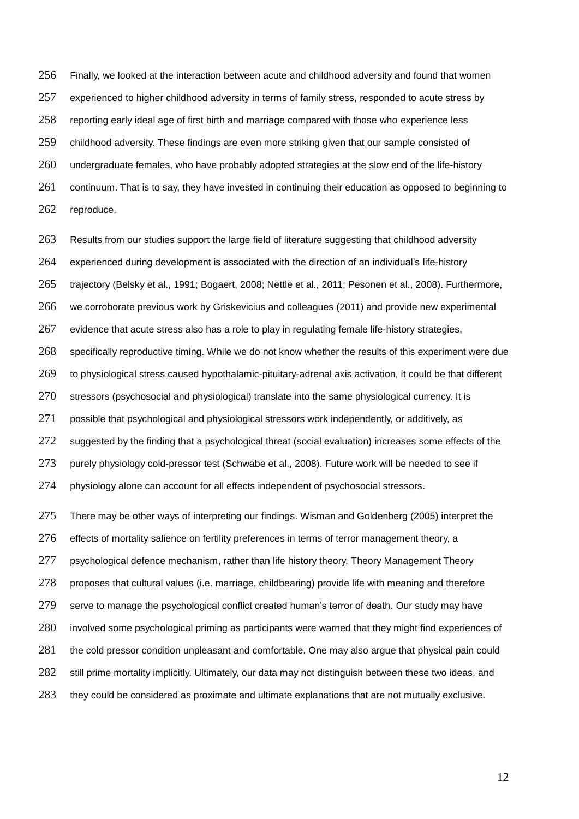Finally, we looked at the interaction between acute and childhood adversity and found that women experienced to higher childhood adversity in terms of family stress, responded to acute stress by reporting early ideal age of first birth and marriage compared with those who experience less childhood adversity. These findings are even more striking given that our sample consisted of 260 undergraduate females, who have probably adopted strategies at the slow end of the life-history 261 continuum. That is to say, they have invested in continuing their education as opposed to beginning to reproduce.

263 Results from our studies support the large field of literature suggesting that childhood adversity 264 experienced during development is associated with the direction of an individual's life-history trajectory (Belsky et al., 1991; Bogaert, 2008; Nettle et al., 2011; Pesonen et al., 2008). Furthermore, we corroborate previous work by Griskevicius and colleagues (2011) and provide new experimental evidence that acute stress also has a role to play in regulating female life-history strategies, specifically reproductive timing. While we do not know whether the results of this experiment were due to physiological stress caused hypothalamic-pituitary-adrenal axis activation, it could be that different 270 stressors (psychosocial and physiological) translate into the same physiological currency. It is 271 possible that psychological and physiological stressors work independently, or additively, as 272 suggested by the finding that a psychological threat (social evaluation) increases some effects of the purely physiology cold-pressor test (Schwabe et al., 2008). Future work will be needed to see if physiology alone can account for all effects independent of psychosocial stressors. There may be other ways of interpreting our findings. Wisman and Goldenberg (2005) interpret the effects of mortality salience on fertility preferences in terms of terror management theory, a 277 psychological defence mechanism, rather than life history theory. Theory Management Theory proposes that cultural values (i.e. marriage, childbearing) provide life with meaning and therefore serve to manage the psychological conflict created human's terror of death. Our study may have involved some psychological priming as participants were warned that they might find experiences of the cold pressor condition unpleasant and comfortable. One may also argue that physical pain could still prime mortality implicitly. Ultimately, our data may not distinguish between these two ideas, and

they could be considered as proximate and ultimate explanations that are not mutually exclusive.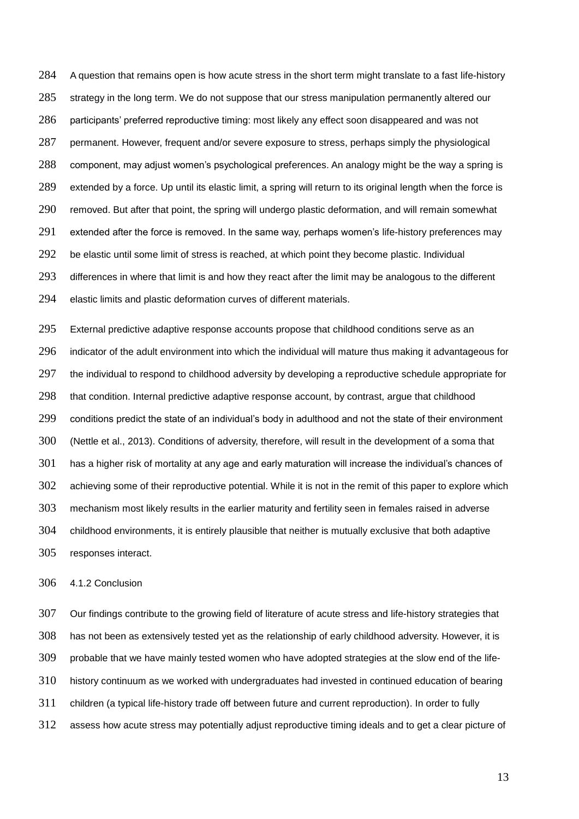A question that remains open is how acute stress in the short term might translate to a fast life-history 285 strategy in the long term. We do not suppose that our stress manipulation permanently altered our participants' preferred reproductive timing: most likely any effect soon disappeared and was not permanent. However, frequent and/or severe exposure to stress, perhaps simply the physiological component, may adjust women's psychological preferences. An analogy might be the way a spring is extended by a force. Up until its elastic limit, a spring will return to its original length when the force is removed. But after that point, the spring will undergo plastic deformation, and will remain somewhat extended after the force is removed. In the same way, perhaps women's life-history preferences may be elastic until some limit of stress is reached, at which point they become plastic. Individual 293 differences in where that limit is and how they react after the limit may be analogous to the different elastic limits and plastic deformation curves of different materials.

 External predictive adaptive response accounts propose that childhood conditions serve as an indicator of the adult environment into which the individual will mature thus making it advantageous for 297 the individual to respond to childhood adversity by developing a reproductive schedule appropriate for that condition. Internal predictive adaptive response account, by contrast, argue that childhood conditions predict the state of an individual's body in adulthood and not the state of their environment (Nettle et al., 2013). Conditions of adversity, therefore, will result in the development of a soma that has a higher risk of mortality at any age and early maturation will increase the individual's chances of 302 achieving some of their reproductive potential. While it is not in the remit of this paper to explore which mechanism most likely results in the earlier maturity and fertility seen in females raised in adverse childhood environments, it is entirely plausible that neither is mutually exclusive that both adaptive responses interact.

4.1.2 Conclusion

 Our findings contribute to the growing field of literature of acute stress and life-history strategies that has not been as extensively tested yet as the relationship of early childhood adversity. However, it is probable that we have mainly tested women who have adopted strategies at the slow end of the life- history continuum as we worked with undergraduates had invested in continued education of bearing children (a typical life-history trade off between future and current reproduction). In order to fully assess how acute stress may potentially adjust reproductive timing ideals and to get a clear picture of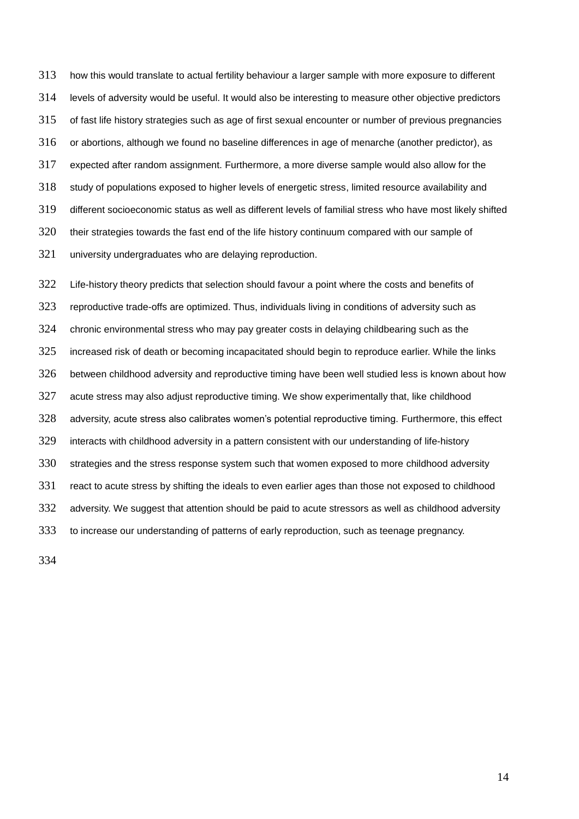how this would translate to actual fertility behaviour a larger sample with more exposure to different levels of adversity would be useful. It would also be interesting to measure other objective predictors of fast life history strategies such as age of first sexual encounter or number of previous pregnancies or abortions, although we found no baseline differences in age of menarche (another predictor), as expected after random assignment. Furthermore, a more diverse sample would also allow for the study of populations exposed to higher levels of energetic stress, limited resource availability and different socioeconomic status as well as different levels of familial stress who have most likely shifted their strategies towards the fast end of the life history continuum compared with our sample of university undergraduates who are delaying reproduction.

 Life-history theory predicts that selection should favour a point where the costs and benefits of reproductive trade-offs are optimized. Thus, individuals living in conditions of adversity such as chronic environmental stress who may pay greater costs in delaying childbearing such as the increased risk of death or becoming incapacitated should begin to reproduce earlier. While the links between childhood adversity and reproductive timing have been well studied less is known about how 327 acute stress may also adjust reproductive timing. We show experimentally that, like childhood adversity, acute stress also calibrates women's potential reproductive timing. Furthermore, this effect interacts with childhood adversity in a pattern consistent with our understanding of life-history strategies and the stress response system such that women exposed to more childhood adversity react to acute stress by shifting the ideals to even earlier ages than those not exposed to childhood adversity. We suggest that attention should be paid to acute stressors as well as childhood adversity to increase our understanding of patterns of early reproduction, such as teenage pregnancy.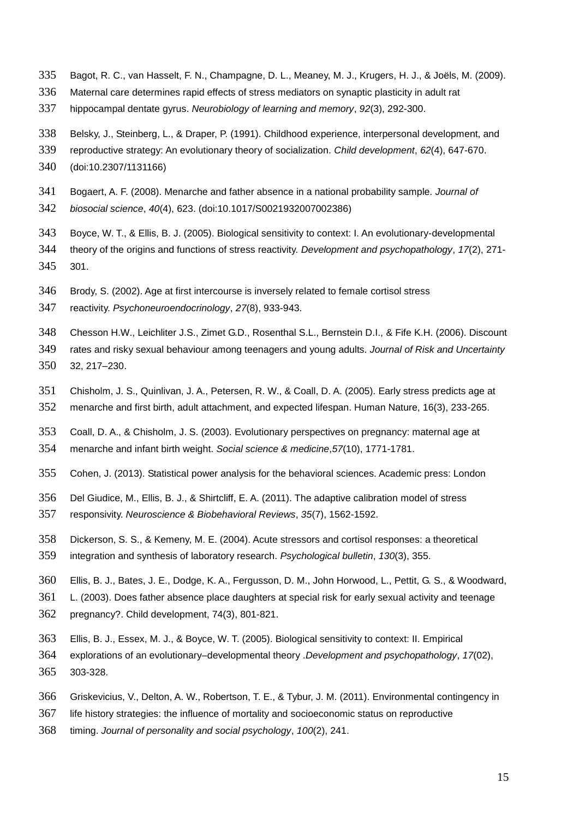- Bagot, R. C., van Hasselt, F. N., Champagne, D. L., Meaney, M. J., Krugers, H. J., & Joëls, M. (2009).
- Maternal care determines rapid effects of stress mediators on synaptic plasticity in adult rat
- hippocampal dentate gyrus. *Neurobiology of learning and memory*, *92*(3), 292-300.
- Belsky, J., Steinberg, L., & Draper, P. (1991). Childhood experience, interpersonal development, and
- reproductive strategy: An evolutionary theory of socialization. *Child development*, *62*(4), 647-670.
- (doi:10.2307/1131166)
- Bogaert, A. F. (2008). Menarche and father absence in a national probability sample. *Journal of biosocial science*, *40*(4), 623. (doi:10.1017/S0021932007002386)
- Boyce, W. T., & Ellis, B. J. (2005). Biological sensitivity to context: I. An evolutionary-developmental
- theory of the origins and functions of stress reactivity. *Development and psychopathology*, *17*(2), 271- 301.
- Brody, S. (2002). Age at first intercourse is inversely related to female cortisol stress
- reactivity. *Psychoneuroendocrinology*, *27*(8), 933-943.
- Chesson H.W., Leichliter J.S., Zimet G.D., Rosenthal S.L., Bernstein D.I., & Fife K.H. (2006). Discount
- rates and risky sexual behaviour among teenagers and young adults. *Journal of Risk and Uncertainty* 32, 217–230.
- Chisholm, J. S., Quinlivan, J. A., Petersen, R. W., & Coall, D. A. (2005). Early stress predicts age at
- menarche and first birth, adult attachment, and expected lifespan. Human Nature, 16(3), 233-265.
- Coall, D. A., & Chisholm, J. S. (2003). Evolutionary perspectives on pregnancy: maternal age at menarche and infant birth weight. *Social science & medicine*,*57*(10), 1771-1781.
- Cohen, J. (2013). Statistical power analysis for the behavioral sciences. Academic press: London
- Del Giudice, M., Ellis, B. J., & Shirtcliff, E. A. (2011). The adaptive calibration model of stress
- responsivity. *Neuroscience & Biobehavioral Reviews*, *35*(7), 1562-1592.
- Dickerson, S. S., & Kemeny, M. E. (2004). Acute stressors and cortisol responses: a theoretical
- integration and synthesis of laboratory research. *Psychological bulletin*, *130*(3), 355.
- Ellis, B. J., Bates, J. E., Dodge, K. A., Fergusson, D. M., John Horwood, L., Pettit, G. S., & Woodward,
- L. (2003). Does father absence place daughters at special risk for early sexual activity and teenage
- pregnancy?. Child development, 74(3), 801-821.
- Ellis, B. J., Essex, M. J., & Boyce, W. T. (2005). Biological sensitivity to context: II. Empirical
- explorations of an evolutionary–developmental theory .*Development and psychopathology*, *17*(02), 303-328.
- Griskevicius, V., Delton, A. W., Robertson, T. E., & Tybur, J. M. (2011). Environmental contingency in
- life history strategies: the influence of mortality and socioeconomic status on reproductive
- timing. *Journal of personality and social psychology*, *100*(2), 241.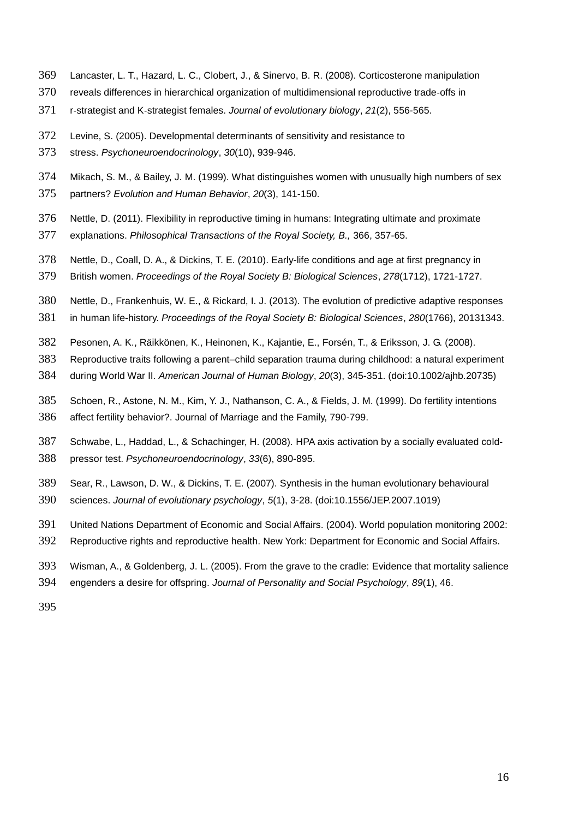- Lancaster, L. T., Hazard, L. C., Clobert, J., & Sinervo, B. R. (2008). Corticosterone manipulation
- 370 reveals differences in hierarchical organization of multidimensional reproductive trade-offs in
- r‐strategist and K‐strategist females. *Journal of evolutionary biology*, *21*(2), 556-565.
- Levine, S. (2005). Developmental determinants of sensitivity and resistance to
- stress. *Psychoneuroendocrinology*, *30*(10), 939-946.
- Mikach, S. M., & Bailey, J. M. (1999). What distinguishes women with unusually high numbers of sex
- partners? *Evolution and Human Behavior*, *20*(3), 141-150.
- Nettle, D. (2011). Flexibility in reproductive timing in humans: Integrating ultimate and proximate
- explanations. *Philosophical Transactions of the Royal Society, B.,* 366, 357-65.
- Nettle, D., Coall, D. A., & Dickins, T. E. (2010). Early-life conditions and age at first pregnancy in
- British women. *Proceedings of the Royal Society B: Biological Sciences*, *278*(1712), 1721-1727.
- Nettle, D., Frankenhuis, W. E., & Rickard, I. J. (2013). The evolution of predictive adaptive responses
- in human life-history. *Proceedings of the Royal Society B: Biological Sciences*, *280*(1766), 20131343.
- Pesonen, A. K., Räikkönen, K., Heinonen, K., Kajantie, E., Forsén, T., & Eriksson, J. G. (2008).
- Reproductive traits following a parent–child separation trauma during childhood: a natural experiment
- during World War II. *American Journal of Human Biology*, *20*(3), 345-351. (doi:10.1002/ajhb.20735)
- Schoen, R., Astone, N. M., Kim, Y. J., Nathanson, C. A., & Fields, J. M. (1999). Do fertility intentions
- affect fertility behavior?. Journal of Marriage and the Family, 790-799.
- Schwabe, L., Haddad, L., & Schachinger, H. (2008). HPA axis activation by a socially evaluated cold-
- pressor test. *Psychoneuroendocrinology*, *33*(6), 890-895.
- Sear, R., Lawson, D. W., & Dickins, T. E. (2007). Synthesis in the human evolutionary behavioural
- sciences. *Journal of evolutionary psychology*, *5*(1), 3-28. (doi:10.1556/JEP.2007.1019)
- United Nations Department of Economic and Social Affairs. (2004). World population monitoring 2002:
- Reproductive rights and reproductive health. New York: Department for Economic and Social Affairs.
- Wisman, A., & Goldenberg, J. L. (2005). From the grave to the cradle: Evidence that mortality salience
- engenders a desire for offspring. *Journal of Personality and Social Psychology*, *89*(1), 46.
-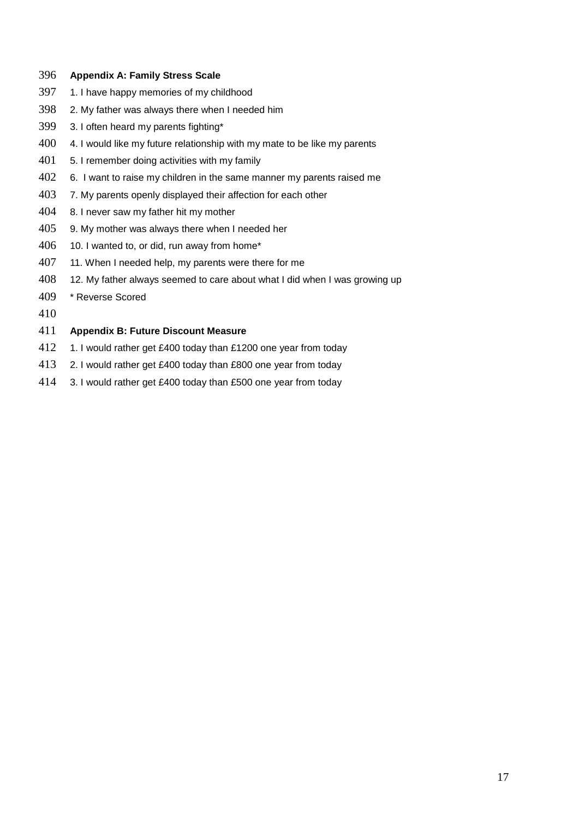### **Appendix A: Family Stress Scale**

- 1. I have happy memories of my childhood
- 2. My father was always there when I needed him
- 3. I often heard my parents fighting\*
- 400 4. I would like my future relationship with my mate to be like my parents
- 5. I remember doing activities with my family
- 402 6. I want to raise my children in the same manner my parents raised me
- 7. My parents openly displayed their affection for each other
- 8. I never saw my father hit my mother
- 9. My mother was always there when I needed her
- 406 10. I wanted to, or did, run away from home\*
- 407 11. When I needed help, my parents were there for me
- 408 12. My father always seemed to care about what I did when I was growing up
- \* Reverse Scored
- 

## **Appendix B: Future Discount Measure**

- 412 1. I would rather get £400 today than £1200 one year from today
- 2. I would rather get £400 today than £800 one year from today
- 3. I would rather get £400 today than £500 one year from today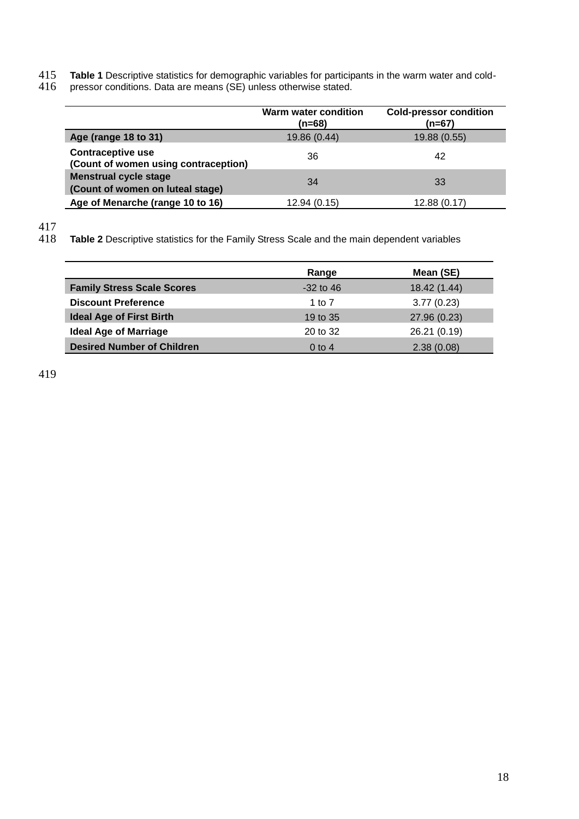- 415 **Table 1** Descriptive statistics for demographic variables for participants in the warm water and cold-<br>416 pressor conditions. Data are means (SE) unless otherwise stated.
- pressor conditions. Data are means (SE) unless otherwise stated.

|                                                                  | <b>Warm water condition</b><br>$(n=68)$ | <b>Cold-pressor condition</b><br>$(n=67)$ |
|------------------------------------------------------------------|-----------------------------------------|-------------------------------------------|
| Age (range 18 to 31)                                             | 19.86 (0.44)                            | 19.88 (0.55)                              |
| <b>Contraceptive use</b><br>(Count of women using contraception) | 36                                      | 42                                        |
| <b>Menstrual cycle stage</b><br>(Count of women on luteal stage) | 34                                      | 33                                        |
| Age of Menarche (range 10 to 16)                                 | 12.94 (0.15)                            | 12.88 (0.17)                              |

 $417$ <br> $418$ 

Table 2 Descriptive statistics for the Family Stress Scale and the main dependent variables

|                                   | Range       | Mean (SE)    |
|-----------------------------------|-------------|--------------|
| <b>Family Stress Scale Scores</b> | $-32$ to 46 | 18.42 (1.44) |
| <b>Discount Preference</b>        | 1 to $7$    | 3.77(0.23)   |
| <b>Ideal Age of First Birth</b>   | 19 to 35    | 27.96 (0.23) |
| <b>Ideal Age of Marriage</b>      | 20 to 32    | 26.21 (0.19) |
| <b>Desired Number of Children</b> | $0$ to 4    | 2.38(0.08)   |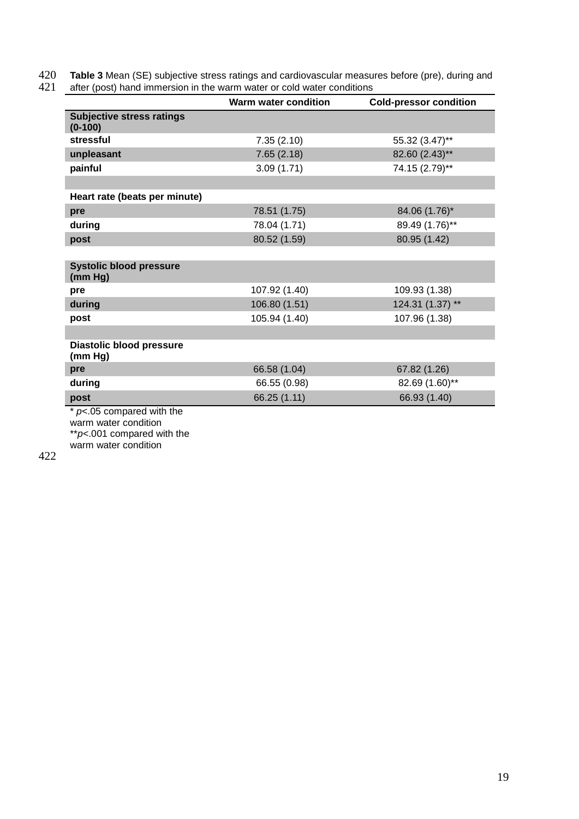420 **Table 3** Mean (SE) subjective stress ratings and cardiovascular measures before (pre), during and

421 after (post) hand immersion in the warm water or cold water conditions

|                                                                                                                | Warm water condition | <b>Cold-pressor condition</b> |
|----------------------------------------------------------------------------------------------------------------|----------------------|-------------------------------|
| <b>Subjective stress ratings</b><br>$(0-100)$                                                                  |                      |                               |
| stressful                                                                                                      | 7.35(2.10)           | 55.32 (3.47)**                |
| unpleasant                                                                                                     | 7.65(2.18)           | 82.60 (2.43)**                |
| painful                                                                                                        | 3.09(1.71)           | 74.15 (2.79)**                |
|                                                                                                                |                      |                               |
| Heart rate (beats per minute)                                                                                  |                      |                               |
| pre                                                                                                            | 78.51 (1.75)         | 84.06 (1.76)*                 |
| during                                                                                                         | 78.04 (1.71)         | 89.49 (1.76)**                |
| post                                                                                                           | 80.52 (1.59)         | 80.95 (1.42)                  |
|                                                                                                                |                      |                               |
| <b>Systolic blood pressure</b><br>(mm Hg)                                                                      |                      |                               |
| pre                                                                                                            | 107.92 (1.40)        | 109.93 (1.38)                 |
| during                                                                                                         | 106.80 (1.51)        | 124.31 (1.37) **              |
| post                                                                                                           | 105.94 (1.40)        | 107.96 (1.38)                 |
|                                                                                                                |                      |                               |
| <b>Diastolic blood pressure</b><br>(mm Hg)                                                                     |                      |                               |
| pre                                                                                                            | 66.58 (1.04)         | 67.82 (1.26)                  |
| during                                                                                                         | 66.55 (0.98)         | 82.69 (1.60)**                |
| post                                                                                                           | 66.25 (1.11)         | 66.93 (1.40)                  |
| * $p$ <.05 compared with the<br>warm water condition<br>** $p$ <.001 compared with the<br>warm water condition |                      |                               |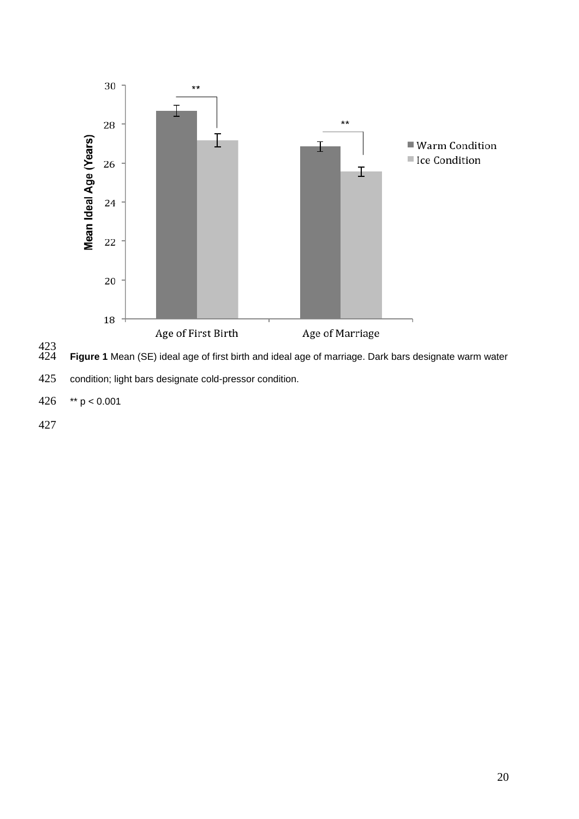

- condition; light bars designate cold-pressor condition.
- 426  $*$  p < 0.001
-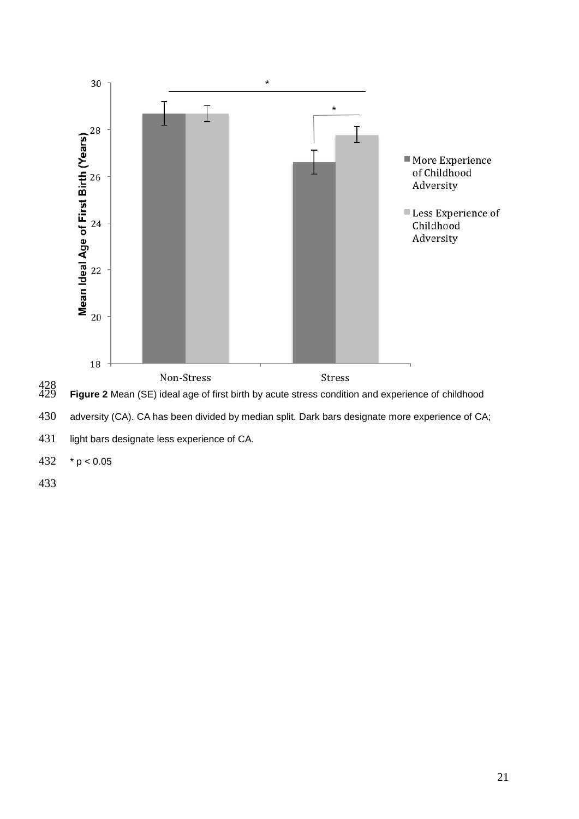